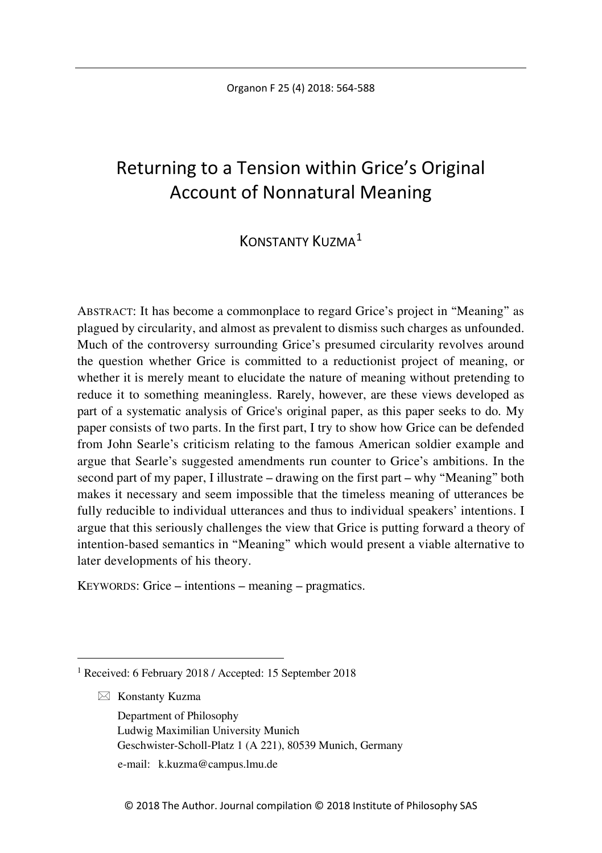# Returning to a Tension within Grice's Original Account of Nonnatural Meaning

## KONSTANTY KUZMA<sup>[1](#page-0-0)</sup>

ABSTRACT: It has become a commonplace to regard Grice's project in "Meaning" as plagued by circularity, and almost as prevalent to dismiss such charges as unfounded. Much of the controversy surrounding Grice's presumed circularity revolves around the question whether Grice is committed to a reductionist project of meaning, or whether it is merely meant to elucidate the nature of meaning without pretending to reduce it to something meaningless. Rarely, however, are these views developed as part of a systematic analysis of Grice's original paper, as this paper seeks to do. My paper consists of two parts. In the first part, I try to show how Grice can be defended from John Searle's criticism relating to the famous American soldier example and argue that Searle's suggested amendments run counter to Grice's ambitions. In the second part of my paper, I illustrate – drawing on the first part – why "Meaning" both makes it necessary and seem impossible that the timeless meaning of utterances be fully reducible to individual utterances and thus to individual speakers' intentions. I argue that this seriously challenges the view that Grice is putting forward a theory of intention-based semantics in "Meaning" which would present a viable alternative to later developments of his theory.

KEYWORDS: Grice – intentions – meaning – pragmatics.

 $\boxtimes$  Konstanty Kuzma

Department of Philosophy Ludwig Maximilian University Munich Geschwister-Scholl-Platz 1 (A 221), 80539 Munich, Germany

e-mail: k.kuzma@campus.lmu.de

<span id="page-0-0"></span> <sup>1</sup> Received: 6 February 2018 / Accepted: 15 September 2018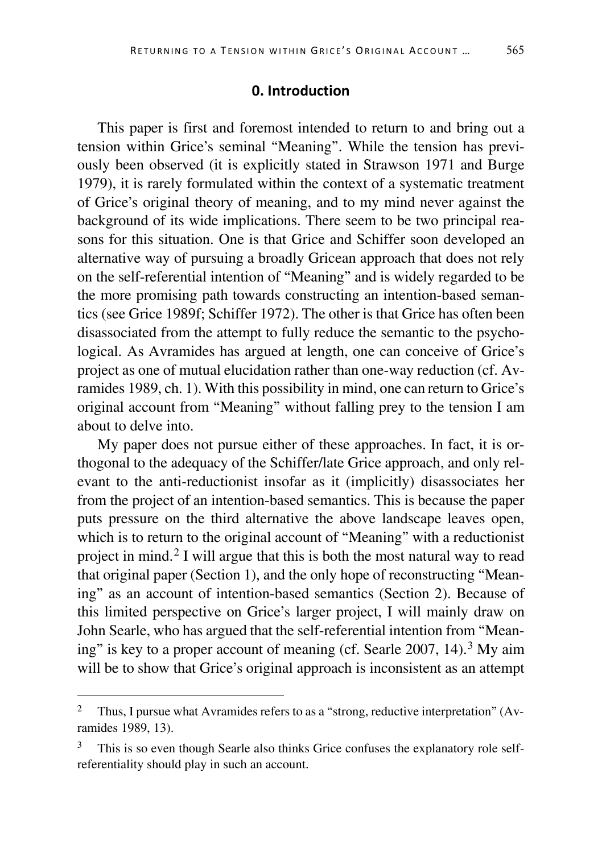## **0. Introduction**

This paper is first and foremost intended to return to and bring out a tension within Grice's seminal "Meaning". While the tension has previously been observed (it is explicitly stated in Strawson 1971 and Burge 1979), it is rarely formulated within the context of a systematic treatment of Grice's original theory of meaning, and to my mind never against the background of its wide implications. There seem to be two principal reasons for this situation. One is that Grice and Schiffer soon developed an alternative way of pursuing a broadly Gricean approach that does not rely on the self-referential intention of "Meaning" and is widely regarded to be the more promising path towards constructing an intention-based semantics (see Grice 1989f; Schiffer 1972). The other is that Grice has often been disassociated from the attempt to fully reduce the semantic to the psychological. As Avramides has argued at length, one can conceive of Grice's project as one of mutual elucidation rather than one-way reduction (cf. Avramides 1989, ch. 1). With this possibility in mind, one can return to Grice's original account from "Meaning" without falling prey to the tension I am about to delve into.

My paper does not pursue either of these approaches. In fact, it is orthogonal to the adequacy of the Schiffer/late Grice approach, and only relevant to the anti-reductionist insofar as it (implicitly) disassociates her from the project of an intention-based semantics. This is because the paper puts pressure on the third alternative the above landscape leaves open, which is to return to the original account of "Meaning" with a reductionist project in mind.<sup>[2](#page-1-0)</sup> I will argue that this is both the most natural way to read that original paper (Section 1), and the only hope of reconstructing "Meaning" as an account of intention-based semantics (Section 2). Because of this limited perspective on Grice's larger project, I will mainly draw on John Searle, who has argued that the self-referential intention from "Mean-ing" is key to a proper account of meaning (cf. Searle 2007, 14).<sup>[3](#page-1-1)</sup> My aim will be to show that Grice's original approach is inconsistent as an attempt

<span id="page-1-0"></span> <sup>2</sup> Thus, I pursue what Avramides refers to as a "strong, reductive interpretation" (Avramides 1989, 13).

<span id="page-1-1"></span><sup>&</sup>lt;sup>3</sup> This is so even though Searle also thinks Grice confuses the explanatory role selfreferentiality should play in such an account.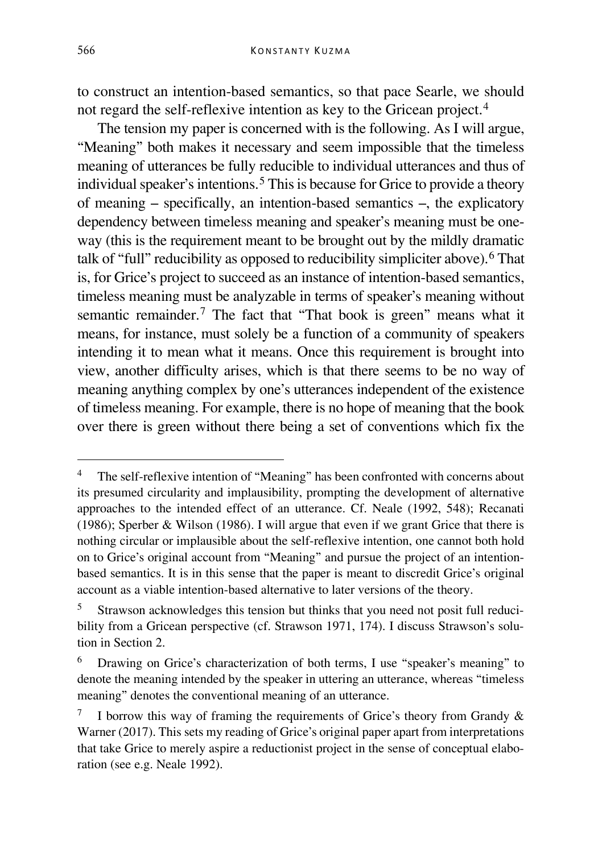to construct an intention-based semantics, so that pace Searle, we should not regard the self-reflexive intention as key to the Gricean project.[4](#page-2-0)

The tension my paper is concerned with is the following. As I will argue, "Meaning" both makes it necessary and seem impossible that the timeless meaning of utterances be fully reducible to individual utterances and thus of individual speaker's intentions.<sup>[5](#page-2-1)</sup> This is because for Grice to provide a theory of meaning – specifically, an intention-based semantics –, the explicatory dependency between timeless meaning and speaker's meaning must be oneway (this is the requirement meant to be brought out by the mildly dramatic talk of "full" reducibility as opposed to reducibility simpliciter above).<sup>[6](#page-2-2)</sup> That is, for Grice's project to succeed as an instance of intention-based semantics, timeless meaning must be analyzable in terms of speaker's meaning without semantic remainder.<sup>[7](#page-2-3)</sup> The fact that "That book is green" means what it means, for instance, must solely be a function of a community of speakers intending it to mean what it means. Once this requirement is brought into view, another difficulty arises, which is that there seems to be no way of meaning anything complex by one's utterances independent of the existence of timeless meaning. For example, there is no hope of meaning that the book over there is green without there being a set of conventions which fix the

<span id="page-2-0"></span> <sup>4</sup> The self-reflexive intention of "Meaning" has been confronted with concerns about its presumed circularity and implausibility, prompting the development of alternative approaches to the intended effect of an utterance. Cf. Neale (1992, 548); Recanati (1986); Sperber & Wilson (1986). I will argue that even if we grant Grice that there is nothing circular or implausible about the self-reflexive intention, one cannot both hold on to Grice's original account from "Meaning" and pursue the project of an intentionbased semantics. It is in this sense that the paper is meant to discredit Grice's original account as a viable intention-based alternative to later versions of the theory.

<span id="page-2-1"></span><sup>5</sup> Strawson acknowledges this tension but thinks that you need not posit full reducibility from a Gricean perspective (cf. Strawson 1971, 174). I discuss Strawson's solution in Section 2.

<span id="page-2-2"></span><sup>6</sup> Drawing on Grice's characterization of both terms, I use "speaker's meaning" to denote the meaning intended by the speaker in uttering an utterance, whereas "timeless meaning" denotes the conventional meaning of an utterance.

<span id="page-2-3"></span><sup>&</sup>lt;sup>7</sup> I borrow this way of framing the requirements of Grice's theory from Grandy  $\&$ Warner (2017). This sets my reading of Grice's original paper apart from interpretations that take Grice to merely aspire a reductionist project in the sense of conceptual elaboration (see e.g. Neale 1992).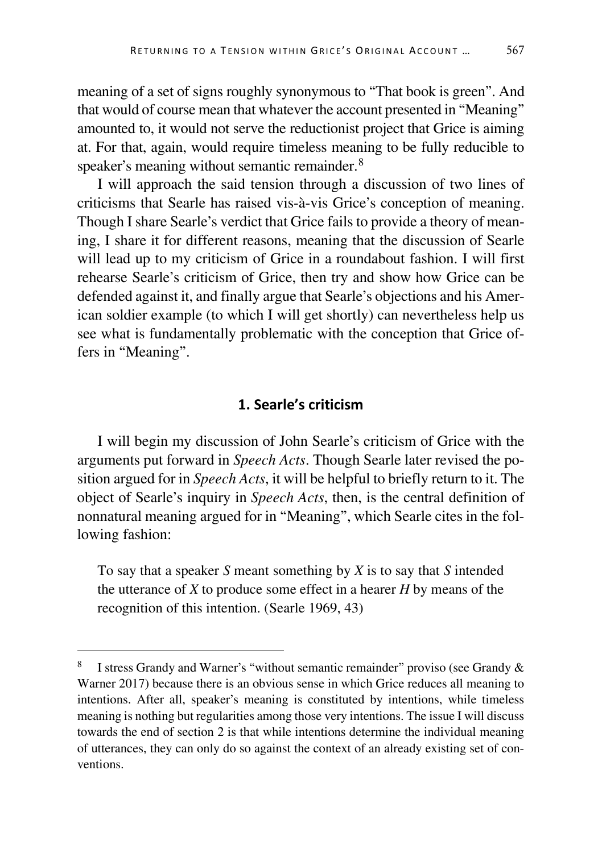meaning of a set of signs roughly synonymous to "That book is green". And that would of course mean that whatever the account presented in "Meaning" amounted to, it would not serve the reductionist project that Grice is aiming at. For that, again, would require timeless meaning to be fully reducible to speaker's meaning without semantic remainder.<sup>[8](#page-3-0)</sup>

I will approach the said tension through a discussion of two lines of criticisms that Searle has raised vis-à-vis Grice's conception of meaning. Though I share Searle's verdict that Grice fails to provide a theory of meaning, I share it for different reasons, meaning that the discussion of Searle will lead up to my criticism of Grice in a roundabout fashion. I will first rehearse Searle's criticism of Grice, then try and show how Grice can be defended against it, and finally argue that Searle's objections and his American soldier example (to which I will get shortly) can nevertheless help us see what is fundamentally problematic with the conception that Grice offers in "Meaning".

#### **1. Searle's criticism**

I will begin my discussion of John Searle's criticism of Grice with the arguments put forward in *Speech Acts*. Though Searle later revised the position argued for in *Speech Acts*, it will be helpful to briefly return to it. The object of Searle's inquiry in *Speech Acts*, then, is the central definition of nonnatural meaning argued for in "Meaning", which Searle cites in the following fashion:

To say that a speaker *S* meant something by *X* is to say that *S* intended the utterance of *X* to produce some effect in a hearer *H* by means of the recognition of this intention. (Searle 1969, 43)

<span id="page-3-0"></span>I stress Grandy and Warner's "without semantic remainder" proviso (see Grandy & Warner 2017) because there is an obvious sense in which Grice reduces all meaning to intentions. After all, speaker's meaning is constituted by intentions, while timeless meaning is nothing but regularities among those very intentions. The issue I will discuss towards the end of section 2 is that while intentions determine the individual meaning of utterances, they can only do so against the context of an already existing set of conventions.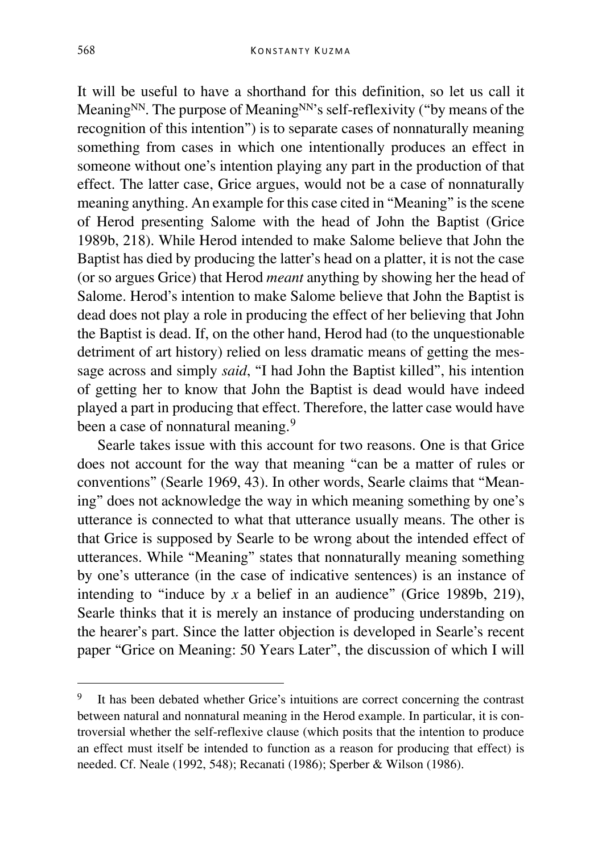It will be useful to have a shorthand for this definition, so let us call it Meaning<sup>NN</sup>. The purpose of Meaning<sup>NN</sup>'s self-reflexivity ("by means of the recognition of this intention") is to separate cases of nonnaturally meaning something from cases in which one intentionally produces an effect in someone without one's intention playing any part in the production of that effect. The latter case, Grice argues, would not be a case of nonnaturally meaning anything. An example for this case cited in "Meaning" is the scene of Herod presenting Salome with the head of John the Baptist (Grice 1989b, 218). While Herod intended to make Salome believe that John the Baptist has died by producing the latter's head on a platter, it is not the case (or so argues Grice) that Herod *meant* anything by showing her the head of Salome. Herod's intention to make Salome believe that John the Baptist is dead does not play a role in producing the effect of her believing that John the Baptist is dead. If, on the other hand, Herod had (to the unquestionable detriment of art history) relied on less dramatic means of getting the message across and simply *said*, "I had John the Baptist killed", his intention of getting her to know that John the Baptist is dead would have indeed played a part in producing that effect. Therefore, the latter case would have been a case of nonnatural meaning.<sup>[9](#page-4-0)</sup>

Searle takes issue with this account for two reasons. One is that Grice does not account for the way that meaning "can be a matter of rules or conventions" (Searle 1969, 43). In other words, Searle claims that "Meaning" does not acknowledge the way in which meaning something by one's utterance is connected to what that utterance usually means. The other is that Grice is supposed by Searle to be wrong about the intended effect of utterances. While "Meaning" states that nonnaturally meaning something by one's utterance (in the case of indicative sentences) is an instance of intending to "induce by *x* a belief in an audience" (Grice 1989b, 219), Searle thinks that it is merely an instance of producing understanding on the hearer's part. Since the latter objection is developed in Searle's recent paper "Grice on Meaning: 50 Years Later", the discussion of which I will

<span id="page-4-0"></span>It has been debated whether Grice's intuitions are correct concerning the contrast between natural and nonnatural meaning in the Herod example. In particular, it is controversial whether the self-reflexive clause (which posits that the intention to produce an effect must itself be intended to function as a reason for producing that effect) is needed. Cf. Neale (1992, 548); Recanati (1986); Sperber & Wilson (1986).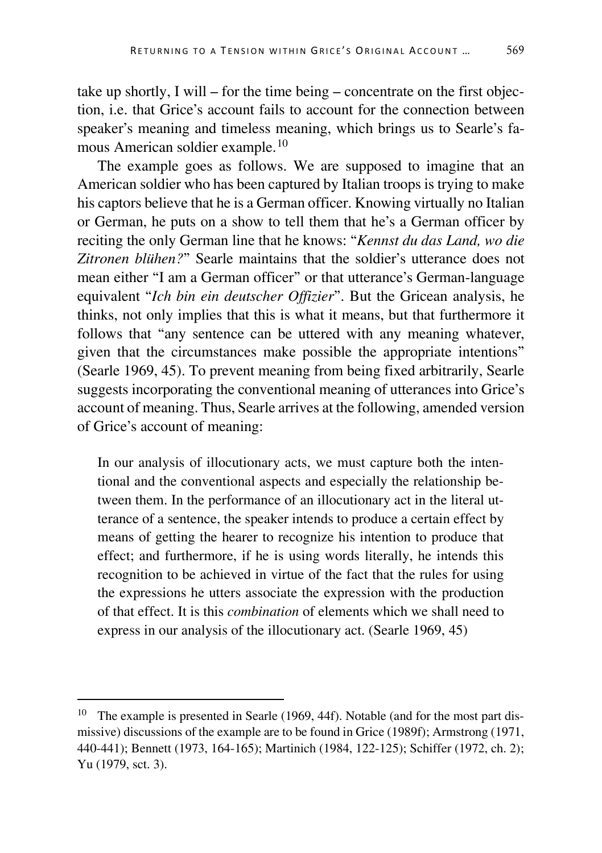take up shortly, I will – for the time being – concentrate on the first objection, i.e. that Grice's account fails to account for the connection between speaker's meaning and timeless meaning, which brings us to Searle's famous American soldier example.[10](#page-5-0)

The example goes as follows. We are supposed to imagine that an American soldier who has been captured by Italian troops is trying to make his captors believe that he is a German officer. Knowing virtually no Italian or German, he puts on a show to tell them that he's a German officer by reciting the only German line that he knows: "*Kennst du das Land, wo die Zitronen blühen?*" Searle maintains that the soldier's utterance does not mean either "I am a German officer" or that utterance's German-language equivalent "*Ich bin ein deutscher Offizier*". But the Gricean analysis, he thinks, not only implies that this is what it means, but that furthermore it follows that "any sentence can be uttered with any meaning whatever, given that the circumstances make possible the appropriate intentions" (Searle 1969, 45). To prevent meaning from being fixed arbitrarily, Searle suggests incorporating the conventional meaning of utterances into Grice's account of meaning. Thus, Searle arrives at the following, amended version of Grice's account of meaning:

In our analysis of illocutionary acts, we must capture both the intentional and the conventional aspects and especially the relationship between them. In the performance of an illocutionary act in the literal utterance of a sentence, the speaker intends to produce a certain effect by means of getting the hearer to recognize his intention to produce that effect; and furthermore, if he is using words literally, he intends this recognition to be achieved in virtue of the fact that the rules for using the expressions he utters associate the expression with the production of that effect. It is this *combination* of elements which we shall need to express in our analysis of the illocutionary act. (Searle 1969, 45)

<span id="page-5-0"></span><sup>&</sup>lt;sup>10</sup> The example is presented in Searle (1969, 44f). Notable (and for the most part dismissive) discussions of the example are to be found in Grice (1989f); Armstrong (1971, 440-441); Bennett (1973, 164-165); Martinich (1984, 122-125); Schiffer (1972, ch. 2); Yu (1979, sct. 3).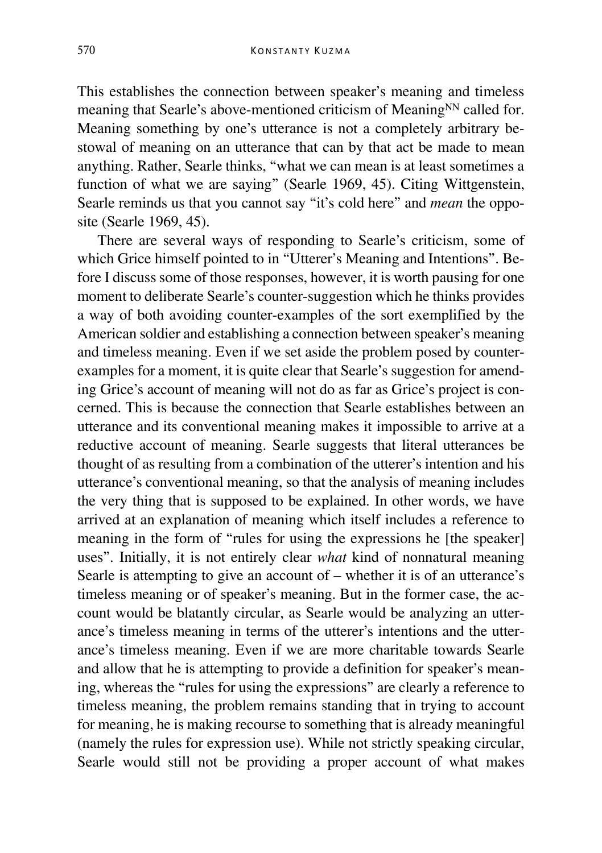This establishes the connection between speaker's meaning and timeless meaning that Searle's above-mentioned criticism of Meaning<sup>NN</sup> called for. Meaning something by one's utterance is not a completely arbitrary bestowal of meaning on an utterance that can by that act be made to mean anything. Rather, Searle thinks, "what we can mean is at least sometimes a function of what we are saying" (Searle 1969, 45). Citing Wittgenstein, Searle reminds us that you cannot say "it's cold here" and *mean* the opposite (Searle 1969, 45).

There are several ways of responding to Searle's criticism, some of which Grice himself pointed to in "Utterer's Meaning and Intentions". Before I discuss some of those responses, however, it is worth pausing for one moment to deliberate Searle's counter-suggestion which he thinks provides a way of both avoiding counter-examples of the sort exemplified by the American soldier and establishing a connection between speaker's meaning and timeless meaning. Even if we set aside the problem posed by counterexamples for a moment, it is quite clear that Searle's suggestion for amending Grice's account of meaning will not do as far as Grice's project is concerned. This is because the connection that Searle establishes between an utterance and its conventional meaning makes it impossible to arrive at a reductive account of meaning. Searle suggests that literal utterances be thought of as resulting from a combination of the utterer's intention and his utterance's conventional meaning, so that the analysis of meaning includes the very thing that is supposed to be explained. In other words, we have arrived at an explanation of meaning which itself includes a reference to meaning in the form of "rules for using the expressions he [the speaker] uses". Initially, it is not entirely clear *what* kind of nonnatural meaning Searle is attempting to give an account of – whether it is of an utterance's timeless meaning or of speaker's meaning. But in the former case, the account would be blatantly circular, as Searle would be analyzing an utterance's timeless meaning in terms of the utterer's intentions and the utterance's timeless meaning. Even if we are more charitable towards Searle and allow that he is attempting to provide a definition for speaker's meaning, whereas the "rules for using the expressions" are clearly a reference to timeless meaning, the problem remains standing that in trying to account for meaning, he is making recourse to something that is already meaningful (namely the rules for expression use). While not strictly speaking circular, Searle would still not be providing a proper account of what makes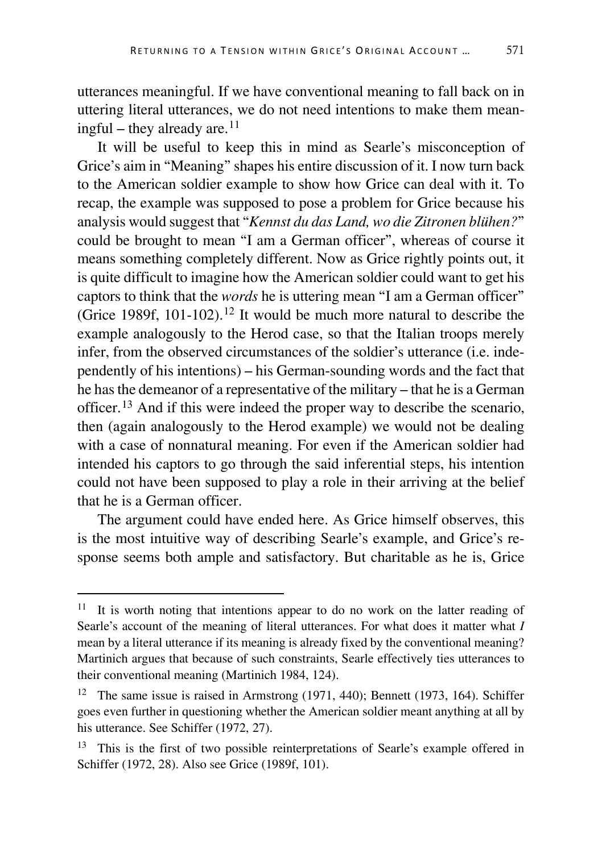utterances meaningful. If we have conventional meaning to fall back on in uttering literal utterances, we do not need intentions to make them meaningful – they already are. $11$ 

It will be useful to keep this in mind as Searle's misconception of Grice's aim in "Meaning" shapes his entire discussion of it. I now turn back to the American soldier example to show how Grice can deal with it. To recap, the example was supposed to pose a problem for Grice because his analysis would suggest that "*Kennst du das Land, wo die Zitronen blühen?*" could be brought to mean "I am a German officer", whereas of course it means something completely different. Now as Grice rightly points out, it is quite difficult to imagine how the American soldier could want to get his captors to think that the *words* he is uttering mean "I am a German officer" (Grice 1989f, 101-102).<sup>[12](#page-7-1)</sup> It would be much more natural to describe the example analogously to the Herod case, so that the Italian troops merely infer, from the observed circumstances of the soldier's utterance (i.e. independently of his intentions) – his German-sounding words and the fact that he has the demeanor of a representative of the military – that he is a German officer.[13](#page-7-2) And if this were indeed the proper way to describe the scenario, then (again analogously to the Herod example) we would not be dealing with a case of nonnatural meaning. For even if the American soldier had intended his captors to go through the said inferential steps, his intention could not have been supposed to play a role in their arriving at the belief that he is a German officer.

The argument could have ended here. As Grice himself observes, this is the most intuitive way of describing Searle's example, and Grice's response seems both ample and satisfactory. But charitable as he is, Grice

<span id="page-7-0"></span><sup>&</sup>lt;sup>11</sup> It is worth noting that intentions appear to do no work on the latter reading of Searle's account of the meaning of literal utterances. For what does it matter what *I* mean by a literal utterance if its meaning is already fixed by the conventional meaning? Martinich argues that because of such constraints, Searle effectively ties utterances to their conventional meaning (Martinich 1984, 124).

<span id="page-7-1"></span><sup>12</sup> The same issue is raised in Armstrong (1971, 440); Bennett (1973, 164). Schiffer goes even further in questioning whether the American soldier meant anything at all by his utterance. See Schiffer (1972, 27).

<span id="page-7-2"></span><sup>&</sup>lt;sup>13</sup> This is the first of two possible reinterpretations of Searle's example offered in Schiffer (1972, 28). Also see Grice (1989f, 101).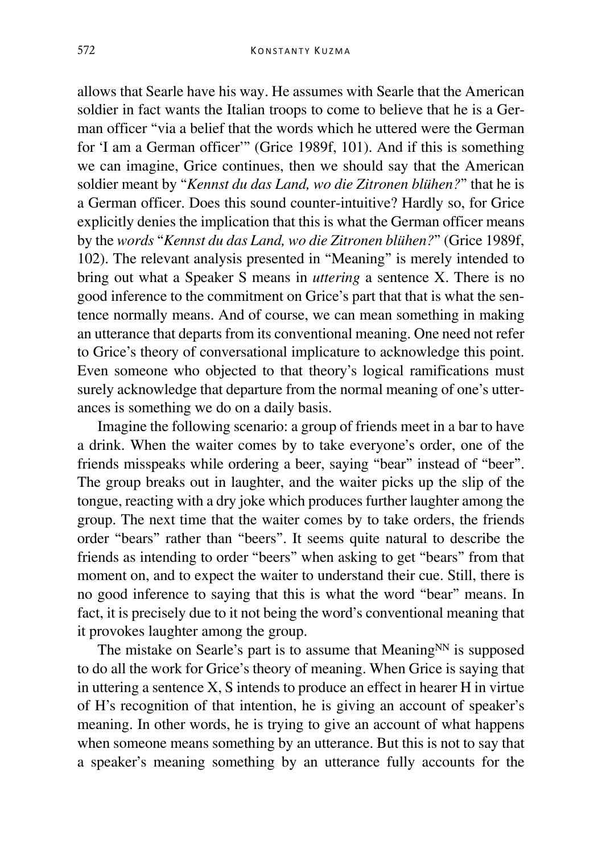allows that Searle have his way. He assumes with Searle that the American soldier in fact wants the Italian troops to come to believe that he is a German officer "via a belief that the words which he uttered were the German for 'I am a German officer'" (Grice 1989f, 101). And if this is something we can imagine, Grice continues, then we should say that the American soldier meant by "*Kennst du das Land, wo die Zitronen blühen?*" that he is a German officer. Does this sound counter-intuitive? Hardly so, for Grice explicitly denies the implication that this is what the German officer means by the *words* "*Kennst du das Land, wo die Zitronen blühen?*" (Grice 1989f, 102). The relevant analysis presented in "Meaning" is merely intended to bring out what a Speaker S means in *uttering* a sentence X. There is no good inference to the commitment on Grice's part that that is what the sentence normally means. And of course, we can mean something in making an utterance that departs from its conventional meaning. One need not refer to Grice's theory of conversational implicature to acknowledge this point. Even someone who objected to that theory's logical ramifications must surely acknowledge that departure from the normal meaning of one's utterances is something we do on a daily basis.

Imagine the following scenario: a group of friends meet in a bar to have a drink. When the waiter comes by to take everyone's order, one of the friends misspeaks while ordering a beer, saying "bear" instead of "beer". The group breaks out in laughter, and the waiter picks up the slip of the tongue, reacting with a dry joke which produces further laughter among the group. The next time that the waiter comes by to take orders, the friends order "bears" rather than "beers". It seems quite natural to describe the friends as intending to order "beers" when asking to get "bears" from that moment on, and to expect the waiter to understand their cue. Still, there is no good inference to saying that this is what the word "bear" means. In fact, it is precisely due to it not being the word's conventional meaning that it provokes laughter among the group.

The mistake on Searle's part is to assume that Meaning $N<sup>N</sup>$  is supposed to do all the work for Grice's theory of meaning. When Grice is saying that in uttering a sentence X, S intends to produce an effect in hearer H in virtue of H's recognition of that intention, he is giving an account of speaker's meaning. In other words, he is trying to give an account of what happens when someone means something by an utterance. But this is not to say that a speaker's meaning something by an utterance fully accounts for the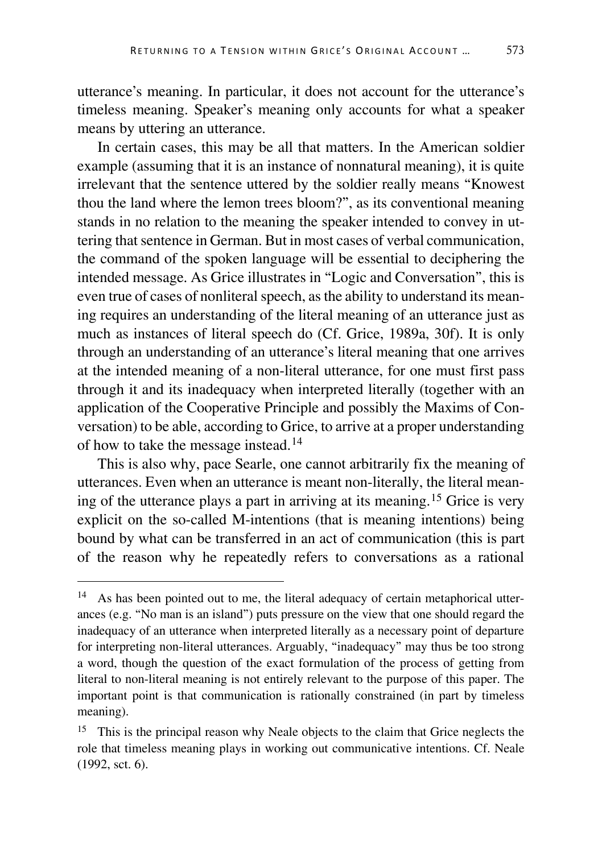utterance's meaning. In particular, it does not account for the utterance's timeless meaning. Speaker's meaning only accounts for what a speaker means by uttering an utterance.

In certain cases, this may be all that matters. In the American soldier example (assuming that it is an instance of nonnatural meaning), it is quite irrelevant that the sentence uttered by the soldier really means "Knowest thou the land where the lemon trees bloom?", as its conventional meaning stands in no relation to the meaning the speaker intended to convey in uttering that sentence in German. But in most cases of verbal communication, the command of the spoken language will be essential to deciphering the intended message. As Grice illustrates in "Logic and Conversation", this is even true of cases of nonliteral speech, as the ability to understand its meaning requires an understanding of the literal meaning of an utterance just as much as instances of literal speech do (Cf. Grice, 1989a, 30f). It is only through an understanding of an utterance's literal meaning that one arrives at the intended meaning of a non-literal utterance, for one must first pass through it and its inadequacy when interpreted literally (together with an application of the Cooperative Principle and possibly the Maxims of Conversation) to be able, according to Grice, to arrive at a proper understanding of how to take the message instead.[14](#page-9-0)

This is also why, pace Searle, one cannot arbitrarily fix the meaning of utterances. Even when an utterance is meant non-literally, the literal meaning of the utterance plays a part in arriving at its meaning.[15](#page-9-1) Grice is very explicit on the so-called M-intentions (that is meaning intentions) being bound by what can be transferred in an act of communication (this is part of the reason why he repeatedly refers to conversations as a rational

<span id="page-9-0"></span><sup>&</sup>lt;sup>14</sup> As has been pointed out to me, the literal adequacy of certain metaphorical utterances (e.g. "No man is an island") puts pressure on the view that one should regard the inadequacy of an utterance when interpreted literally as a necessary point of departure for interpreting non-literal utterances. Arguably, "inadequacy" may thus be too strong a word, though the question of the exact formulation of the process of getting from literal to non-literal meaning is not entirely relevant to the purpose of this paper. The important point is that communication is rationally constrained (in part by timeless meaning).

<span id="page-9-1"></span><sup>&</sup>lt;sup>15</sup> This is the principal reason why Neale objects to the claim that Grice neglects the role that timeless meaning plays in working out communicative intentions. Cf. Neale (1992, sct. 6).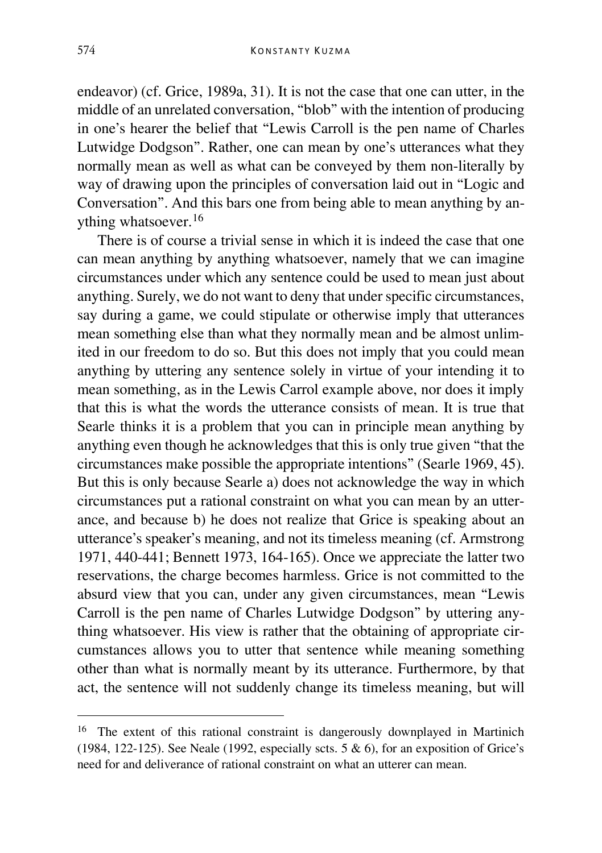endeavor) (cf. Grice, 1989a, 31). It is not the case that one can utter, in the middle of an unrelated conversation, "blob" with the intention of producing in one's hearer the belief that "Lewis Carroll is the pen name of Charles Lutwidge Dodgson". Rather, one can mean by one's utterances what they normally mean as well as what can be conveyed by them non-literally by way of drawing upon the principles of conversation laid out in "Logic and Conversation". And this bars one from being able to mean anything by anything whatsoever.[16](#page-10-0)

There is of course a trivial sense in which it is indeed the case that one can mean anything by anything whatsoever, namely that we can imagine circumstances under which any sentence could be used to mean just about anything. Surely, we do not want to deny that under specific circumstances, say during a game, we could stipulate or otherwise imply that utterances mean something else than what they normally mean and be almost unlimited in our freedom to do so. But this does not imply that you could mean anything by uttering any sentence solely in virtue of your intending it to mean something, as in the Lewis Carrol example above, nor does it imply that this is what the words the utterance consists of mean. It is true that Searle thinks it is a problem that you can in principle mean anything by anything even though he acknowledges that this is only true given "that the circumstances make possible the appropriate intentions" (Searle 1969, 45). But this is only because Searle a) does not acknowledge the way in which circumstances put a rational constraint on what you can mean by an utterance, and because b) he does not realize that Grice is speaking about an utterance's speaker's meaning, and not its timeless meaning (cf. Armstrong 1971, 440-441; Bennett 1973, 164-165). Once we appreciate the latter two reservations, the charge becomes harmless. Grice is not committed to the absurd view that you can, under any given circumstances, mean "Lewis Carroll is the pen name of Charles Lutwidge Dodgson" by uttering anything whatsoever. His view is rather that the obtaining of appropriate circumstances allows you to utter that sentence while meaning something other than what is normally meant by its utterance. Furthermore, by that act, the sentence will not suddenly change its timeless meaning, but will

<span id="page-10-0"></span><sup>&</sup>lt;sup>16</sup> The extent of this rational constraint is dangerously downplayed in Martinich (1984, 122-125). See Neale (1992, especially scts.  $5 \& 6$ ), for an exposition of Grice's need for and deliverance of rational constraint on what an utterer can mean.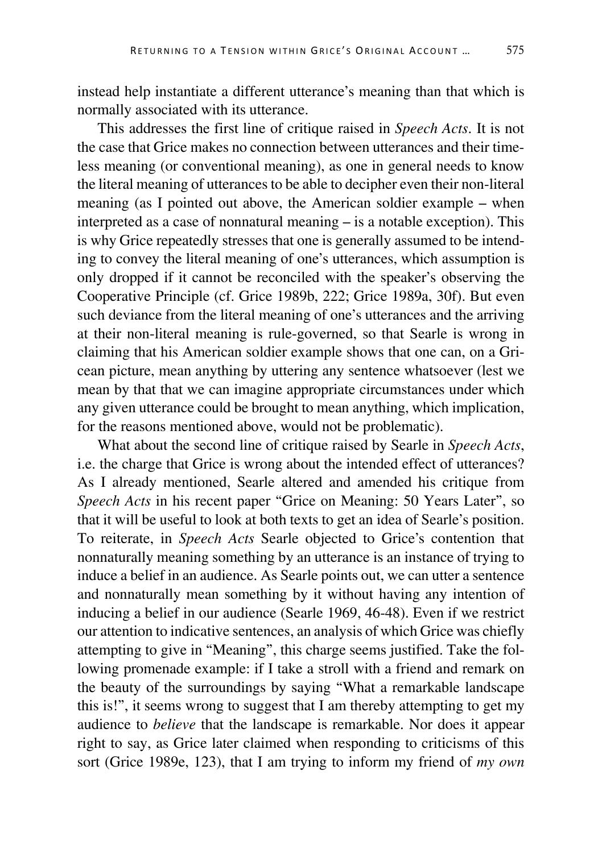instead help instantiate a different utterance's meaning than that which is normally associated with its utterance.

This addresses the first line of critique raised in *Speech Acts*. It is not the case that Grice makes no connection between utterances and their timeless meaning (or conventional meaning), as one in general needs to know the literal meaning of utterances to be able to decipher even their non-literal meaning (as I pointed out above, the American soldier example – when interpreted as a case of nonnatural meaning – is a notable exception). This is why Grice repeatedly stresses that one is generally assumed to be intending to convey the literal meaning of one's utterances, which assumption is only dropped if it cannot be reconciled with the speaker's observing the Cooperative Principle (cf. Grice 1989b, 222; Grice 1989a, 30f). But even such deviance from the literal meaning of one's utterances and the arriving at their non-literal meaning is rule-governed, so that Searle is wrong in claiming that his American soldier example shows that one can, on a Gricean picture, mean anything by uttering any sentence whatsoever (lest we mean by that that we can imagine appropriate circumstances under which any given utterance could be brought to mean anything, which implication, for the reasons mentioned above, would not be problematic).

What about the second line of critique raised by Searle in *Speech Acts*, i.e. the charge that Grice is wrong about the intended effect of utterances? As I already mentioned, Searle altered and amended his critique from *Speech Acts* in his recent paper "Grice on Meaning: 50 Years Later", so that it will be useful to look at both texts to get an idea of Searle's position. To reiterate, in *Speech Acts* Searle objected to Grice's contention that nonnaturally meaning something by an utterance is an instance of trying to induce a belief in an audience. As Searle points out, we can utter a sentence and nonnaturally mean something by it without having any intention of inducing a belief in our audience (Searle 1969, 46-48). Even if we restrict our attention to indicative sentences, an analysis of which Grice was chiefly attempting to give in "Meaning", this charge seems justified. Take the following promenade example: if I take a stroll with a friend and remark on the beauty of the surroundings by saying "What a remarkable landscape this is!", it seems wrong to suggest that I am thereby attempting to get my audience to *believe* that the landscape is remarkable. Nor does it appear right to say, as Grice later claimed when responding to criticisms of this sort (Grice 1989e, 123), that I am trying to inform my friend of *my own*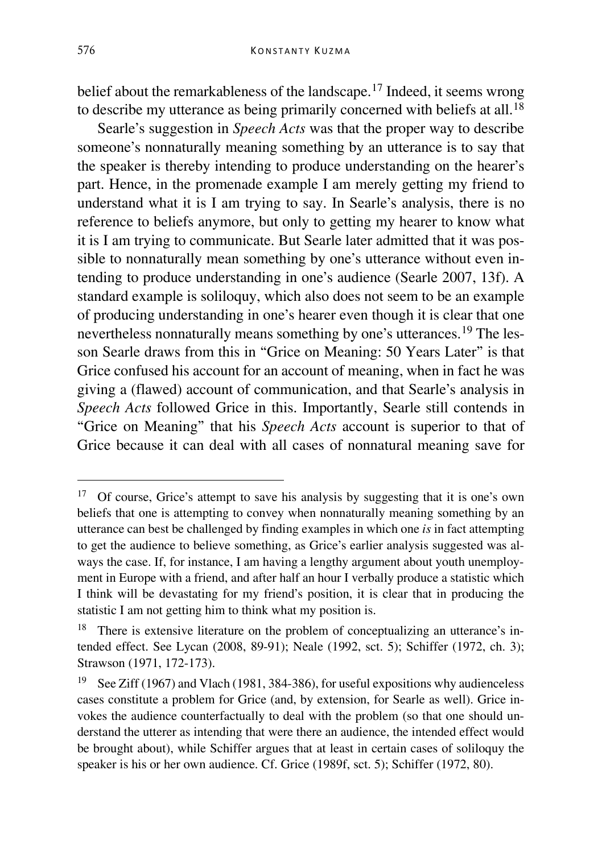belief about the remarkableness of the landscape.<sup>[17](#page-12-0)</sup> Indeed, it seems wrong to describe my utterance as being primarily concerned with beliefs at all.<sup>[18](#page-12-1)</sup>

Searle's suggestion in *Speech Acts* was that the proper way to describe someone's nonnaturally meaning something by an utterance is to say that the speaker is thereby intending to produce understanding on the hearer's part. Hence, in the promenade example I am merely getting my friend to understand what it is I am trying to say. In Searle's analysis, there is no reference to beliefs anymore, but only to getting my hearer to know what it is I am trying to communicate. But Searle later admitted that it was possible to nonnaturally mean something by one's utterance without even intending to produce understanding in one's audience (Searle 2007, 13f). A standard example is soliloquy, which also does not seem to be an example of producing understanding in one's hearer even though it is clear that one nevertheless nonnaturally means something by one's utterances.[19](#page-12-2) The lesson Searle draws from this in "Grice on Meaning: 50 Years Later" is that Grice confused his account for an account of meaning, when in fact he was giving a (flawed) account of communication, and that Searle's analysis in *Speech Acts* followed Grice in this. Importantly, Searle still contends in "Grice on Meaning" that his *Speech Acts* account is superior to that of Grice because it can deal with all cases of nonnatural meaning save for

<span id="page-12-0"></span><sup>&</sup>lt;sup>17</sup> Of course, Grice's attempt to save his analysis by suggesting that it is one's own beliefs that one is attempting to convey when nonnaturally meaning something by an utterance can best be challenged by finding examples in which one *is* in fact attempting to get the audience to believe something, as Grice's earlier analysis suggested was always the case. If, for instance, I am having a lengthy argument about youth unemployment in Europe with a friend, and after half an hour I verbally produce a statistic which I think will be devastating for my friend's position, it is clear that in producing the statistic I am not getting him to think what my position is.

<span id="page-12-1"></span><sup>&</sup>lt;sup>18</sup> There is extensive literature on the problem of conceptualizing an utterance's intended effect. See Lycan (2008, 89-91); Neale (1992, sct. 5); Schiffer (1972, ch. 3); Strawson (1971, 172-173).

<span id="page-12-2"></span><sup>19</sup> See Ziff (1967) and Vlach (1981, 384-386), for useful expositions why audienceless cases constitute a problem for Grice (and, by extension, for Searle as well). Grice invokes the audience counterfactually to deal with the problem (so that one should understand the utterer as intending that were there an audience, the intended effect would be brought about), while Schiffer argues that at least in certain cases of soliloquy the speaker is his or her own audience. Cf. Grice (1989f, sct. 5); Schiffer (1972, 80).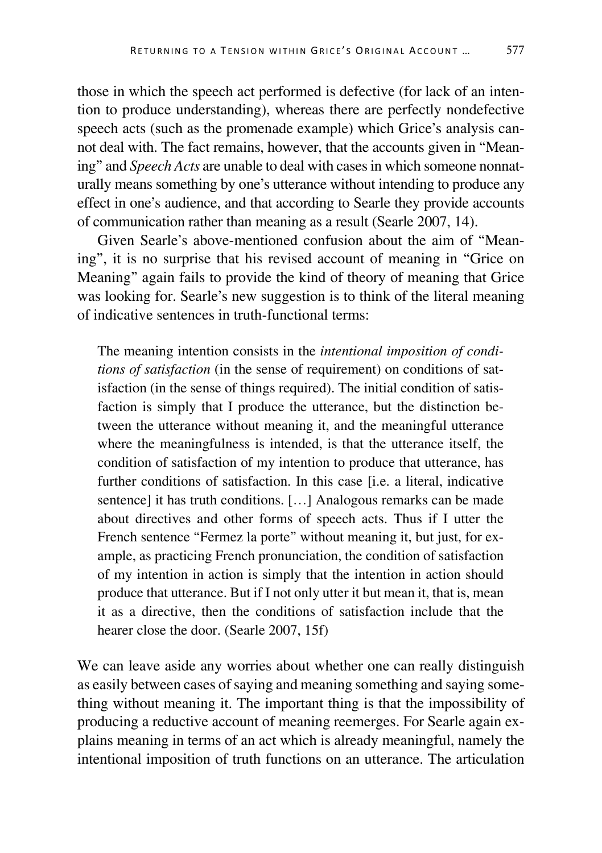those in which the speech act performed is defective (for lack of an intention to produce understanding), whereas there are perfectly nondefective speech acts (such as the promenade example) which Grice's analysis cannot deal with. The fact remains, however, that the accounts given in "Meaning" and *Speech Acts* are unable to deal with cases in which someone nonnaturally means something by one's utterance without intending to produce any effect in one's audience, and that according to Searle they provide accounts of communication rather than meaning as a result (Searle 2007, 14).

Given Searle's above-mentioned confusion about the aim of "Meaning", it is no surprise that his revised account of meaning in "Grice on Meaning" again fails to provide the kind of theory of meaning that Grice was looking for. Searle's new suggestion is to think of the literal meaning of indicative sentences in truth-functional terms:

The meaning intention consists in the *intentional imposition of conditions of satisfaction* (in the sense of requirement) on conditions of satisfaction (in the sense of things required). The initial condition of satisfaction is simply that I produce the utterance, but the distinction between the utterance without meaning it, and the meaningful utterance where the meaningfulness is intended, is that the utterance itself, the condition of satisfaction of my intention to produce that utterance, has further conditions of satisfaction. In this case [i.e. a literal, indicative sentence] it has truth conditions. […] Analogous remarks can be made about directives and other forms of speech acts. Thus if I utter the French sentence "Fermez la porte" without meaning it, but just, for example, as practicing French pronunciation, the condition of satisfaction of my intention in action is simply that the intention in action should produce that utterance. But if I not only utter it but mean it, that is, mean it as a directive, then the conditions of satisfaction include that the hearer close the door. (Searle 2007, 15f)

We can leave aside any worries about whether one can really distinguish as easily between cases of saying and meaning something and saying something without meaning it. The important thing is that the impossibility of producing a reductive account of meaning reemerges. For Searle again explains meaning in terms of an act which is already meaningful, namely the intentional imposition of truth functions on an utterance. The articulation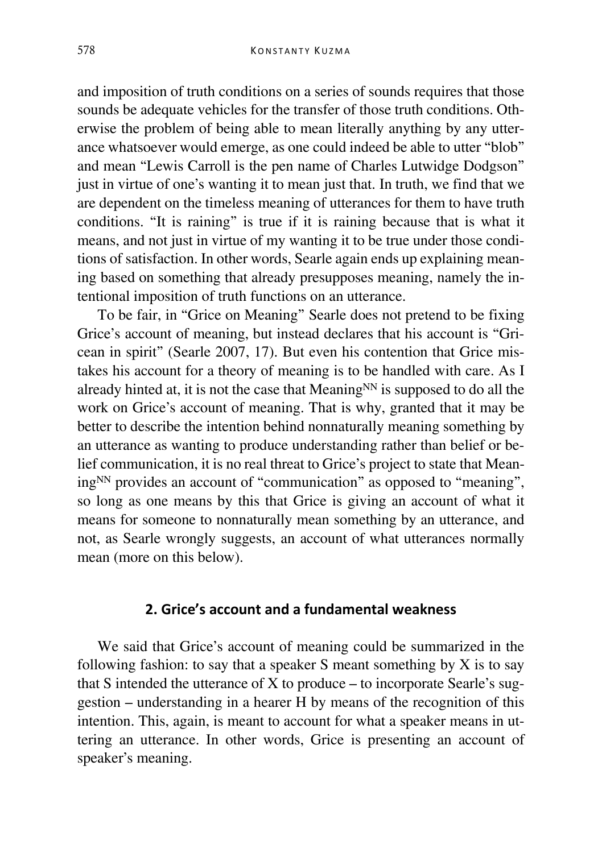and imposition of truth conditions on a series of sounds requires that those sounds be adequate vehicles for the transfer of those truth conditions. Otherwise the problem of being able to mean literally anything by any utterance whatsoever would emerge, as one could indeed be able to utter "blob" and mean "Lewis Carroll is the pen name of Charles Lutwidge Dodgson" just in virtue of one's wanting it to mean just that. In truth, we find that we are dependent on the timeless meaning of utterances for them to have truth conditions. "It is raining" is true if it is raining because that is what it means, and not just in virtue of my wanting it to be true under those conditions of satisfaction. In other words, Searle again ends up explaining meaning based on something that already presupposes meaning, namely the intentional imposition of truth functions on an utterance.

To be fair, in "Grice on Meaning" Searle does not pretend to be fixing Grice's account of meaning, but instead declares that his account is "Gricean in spirit" (Searle 2007, 17). But even his contention that Grice mistakes his account for a theory of meaning is to be handled with care. As I already hinted at, it is not the case that Meaning $^{NN}$  is supposed to do all the work on Grice's account of meaning. That is why, granted that it may be better to describe the intention behind nonnaturally meaning something by an utterance as wanting to produce understanding rather than belief or belief communication, it is no real threat to Grice's project to state that Meaning<sup>NN</sup> provides an account of "communication" as opposed to "meaning", so long as one means by this that Grice is giving an account of what it means for someone to nonnaturally mean something by an utterance, and not, as Searle wrongly suggests, an account of what utterances normally mean (more on this below).

### **2. Grice's account and a fundamental weakness**

We said that Grice's account of meaning could be summarized in the following fashion: to say that a speaker  $S$  meant something by  $X$  is to say that S intended the utterance of X to produce – to incorporate Searle's suggestion – understanding in a hearer H by means of the recognition of this intention. This, again, is meant to account for what a speaker means in uttering an utterance. In other words, Grice is presenting an account of speaker's meaning.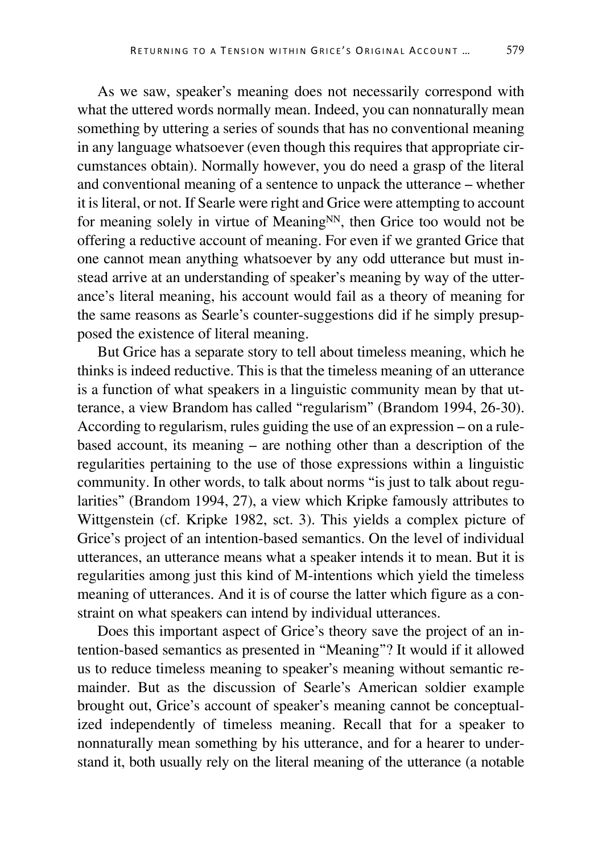As we saw, speaker's meaning does not necessarily correspond with what the uttered words normally mean. Indeed, you can nonnaturally mean something by uttering a series of sounds that has no conventional meaning in any language whatsoever (even though this requires that appropriate circumstances obtain). Normally however, you do need a grasp of the literal and conventional meaning of a sentence to unpack the utterance – whether it is literal, or not. If Searle were right and Grice were attempting to account for meaning solely in virtue of Meaning<sub>NN</sub>, then Grice too would not be offering a reductive account of meaning. For even if we granted Grice that one cannot mean anything whatsoever by any odd utterance but must instead arrive at an understanding of speaker's meaning by way of the utterance's literal meaning, his account would fail as a theory of meaning for the same reasons as Searle's counter-suggestions did if he simply presupposed the existence of literal meaning.

But Grice has a separate story to tell about timeless meaning, which he thinks is indeed reductive. This is that the timeless meaning of an utterance is a function of what speakers in a linguistic community mean by that utterance, a view Brandom has called "regularism" (Brandom 1994, 26-30). According to regularism, rules guiding the use of an expression – on a rulebased account, its meaning – are nothing other than a description of the regularities pertaining to the use of those expressions within a linguistic community. In other words, to talk about norms "is just to talk about regularities" (Brandom 1994, 27), a view which Kripke famously attributes to Wittgenstein (cf. Kripke 1982, sct. 3). This yields a complex picture of Grice's project of an intention-based semantics. On the level of individual utterances, an utterance means what a speaker intends it to mean. But it is regularities among just this kind of M-intentions which yield the timeless meaning of utterances. And it is of course the latter which figure as a constraint on what speakers can intend by individual utterances.

Does this important aspect of Grice's theory save the project of an intention-based semantics as presented in "Meaning"? It would if it allowed us to reduce timeless meaning to speaker's meaning without semantic remainder. But as the discussion of Searle's American soldier example brought out, Grice's account of speaker's meaning cannot be conceptualized independently of timeless meaning. Recall that for a speaker to nonnaturally mean something by his utterance, and for a hearer to understand it, both usually rely on the literal meaning of the utterance (a notable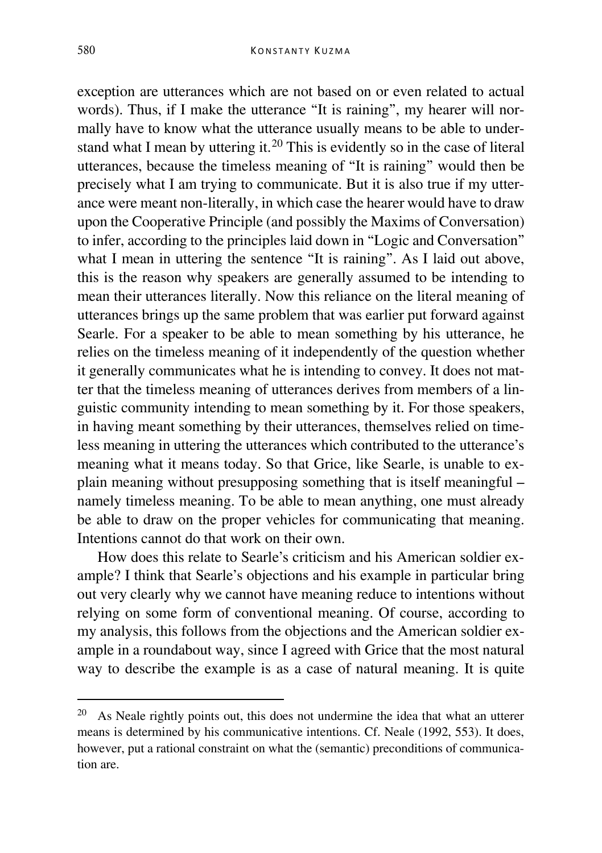exception are utterances which are not based on or even related to actual words). Thus, if I make the utterance "It is raining", my hearer will normally have to know what the utterance usually means to be able to under-stand what I mean by uttering it.<sup>[20](#page-16-0)</sup> This is evidently so in the case of literal utterances, because the timeless meaning of "It is raining" would then be precisely what I am trying to communicate. But it is also true if my utterance were meant non-literally, in which case the hearer would have to draw upon the Cooperative Principle (and possibly the Maxims of Conversation) to infer, according to the principles laid down in "Logic and Conversation" what I mean in uttering the sentence "It is raining". As I laid out above, this is the reason why speakers are generally assumed to be intending to mean their utterances literally. Now this reliance on the literal meaning of utterances brings up the same problem that was earlier put forward against Searle. For a speaker to be able to mean something by his utterance, he relies on the timeless meaning of it independently of the question whether it generally communicates what he is intending to convey. It does not matter that the timeless meaning of utterances derives from members of a linguistic community intending to mean something by it. For those speakers, in having meant something by their utterances, themselves relied on timeless meaning in uttering the utterances which contributed to the utterance's meaning what it means today. So that Grice, like Searle, is unable to explain meaning without presupposing something that is itself meaningful – namely timeless meaning. To be able to mean anything, one must already be able to draw on the proper vehicles for communicating that meaning. Intentions cannot do that work on their own.

How does this relate to Searle's criticism and his American soldier example? I think that Searle's objections and his example in particular bring out very clearly why we cannot have meaning reduce to intentions without relying on some form of conventional meaning. Of course, according to my analysis, this follows from the objections and the American soldier example in a roundabout way, since I agreed with Grice that the most natural way to describe the example is as a case of natural meaning. It is quite

<span id="page-16-0"></span><sup>&</sup>lt;sup>20</sup> As Neale rightly points out, this does not undermine the idea that what an utterer means is determined by his communicative intentions. Cf. Neale (1992, 553). It does, however, put a rational constraint on what the (semantic) preconditions of communication are.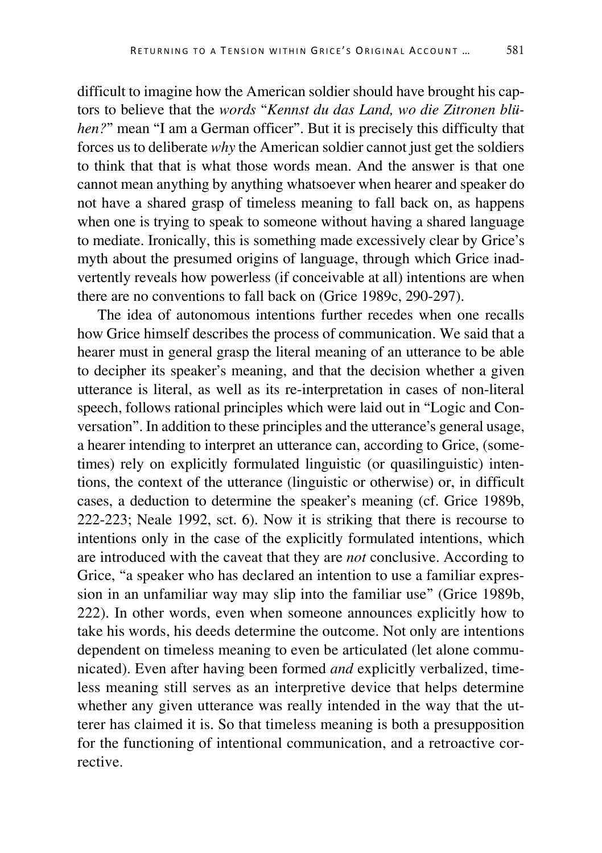difficult to imagine how the American soldier should have brought his captors to believe that the *words* "*Kennst du das Land, wo die Zitronen blühen?*" mean "I am a German officer". But it is precisely this difficulty that forces us to deliberate *why* the American soldier cannot just get the soldiers to think that that is what those words mean. And the answer is that one cannot mean anything by anything whatsoever when hearer and speaker do not have a shared grasp of timeless meaning to fall back on, as happens when one is trying to speak to someone without having a shared language to mediate. Ironically, this is something made excessively clear by Grice's myth about the presumed origins of language, through which Grice inadvertently reveals how powerless (if conceivable at all) intentions are when there are no conventions to fall back on (Grice 1989c, 290-297).

The idea of autonomous intentions further recedes when one recalls how Grice himself describes the process of communication. We said that a hearer must in general grasp the literal meaning of an utterance to be able to decipher its speaker's meaning, and that the decision whether a given utterance is literal, as well as its re-interpretation in cases of non-literal speech, follows rational principles which were laid out in "Logic and Conversation". In addition to these principles and the utterance's general usage, a hearer intending to interpret an utterance can, according to Grice, (sometimes) rely on explicitly formulated linguistic (or quasilinguistic) intentions, the context of the utterance (linguistic or otherwise) or, in difficult cases, a deduction to determine the speaker's meaning (cf. Grice 1989b, 222-223; Neale 1992, sct. 6). Now it is striking that there is recourse to intentions only in the case of the explicitly formulated intentions, which are introduced with the caveat that they are *not* conclusive. According to Grice, "a speaker who has declared an intention to use a familiar expression in an unfamiliar way may slip into the familiar use" (Grice 1989b, 222). In other words, even when someone announces explicitly how to take his words, his deeds determine the outcome. Not only are intentions dependent on timeless meaning to even be articulated (let alone communicated). Even after having been formed *and* explicitly verbalized, timeless meaning still serves as an interpretive device that helps determine whether any given utterance was really intended in the way that the utterer has claimed it is. So that timeless meaning is both a presupposition for the functioning of intentional communication, and a retroactive corrective.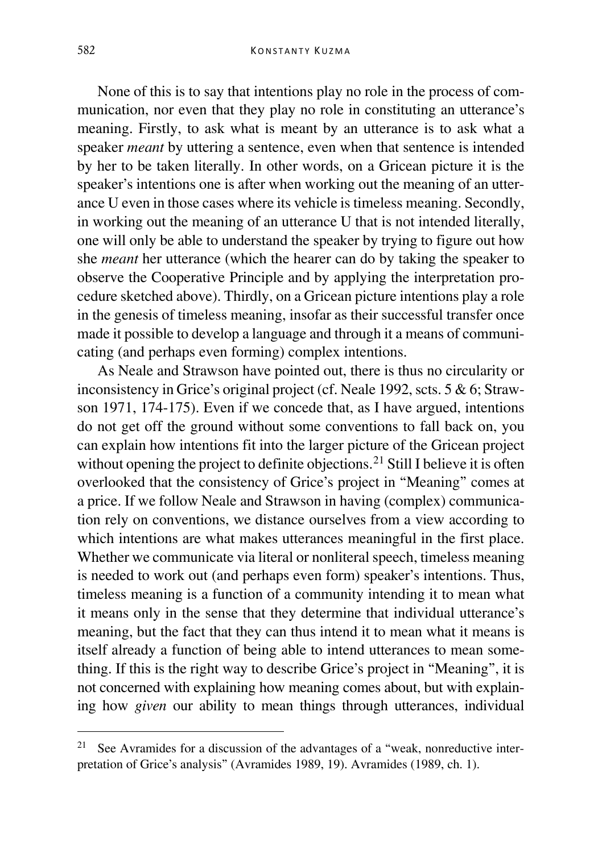None of this is to say that intentions play no role in the process of communication, nor even that they play no role in constituting an utterance's meaning. Firstly, to ask what is meant by an utterance is to ask what a speaker *meant* by uttering a sentence, even when that sentence is intended by her to be taken literally. In other words, on a Gricean picture it is the speaker's intentions one is after when working out the meaning of an utterance U even in those cases where its vehicle is timeless meaning. Secondly, in working out the meaning of an utterance U that is not intended literally, one will only be able to understand the speaker by trying to figure out how she *meant* her utterance (which the hearer can do by taking the speaker to observe the Cooperative Principle and by applying the interpretation procedure sketched above). Thirdly, on a Gricean picture intentions play a role in the genesis of timeless meaning, insofar as their successful transfer once made it possible to develop a language and through it a means of communicating (and perhaps even forming) complex intentions.

As Neale and Strawson have pointed out, there is thus no circularity or inconsistency in Grice's original project (cf. Neale 1992, scts. 5 & 6; Strawson 1971, 174-175). Even if we concede that, as I have argued, intentions do not get off the ground without some conventions to fall back on, you can explain how intentions fit into the larger picture of the Gricean project without opening the project to definite objections.<sup>[21](#page-18-0)</sup> Still I believe it is often overlooked that the consistency of Grice's project in "Meaning" comes at a price. If we follow Neale and Strawson in having (complex) communication rely on conventions, we distance ourselves from a view according to which intentions are what makes utterances meaningful in the first place. Whether we communicate via literal or nonliteral speech, timeless meaning is needed to work out (and perhaps even form) speaker's intentions. Thus, timeless meaning is a function of a community intending it to mean what it means only in the sense that they determine that individual utterance's meaning, but the fact that they can thus intend it to mean what it means is itself already a function of being able to intend utterances to mean something. If this is the right way to describe Grice's project in "Meaning", it is not concerned with explaining how meaning comes about, but with explaining how *given* our ability to mean things through utterances, individual

<span id="page-18-0"></span><sup>&</sup>lt;sup>21</sup> See Avramides for a discussion of the advantages of a "weak, nonreductive interpretation of Grice's analysis" (Avramides 1989, 19). Avramides (1989, ch. 1).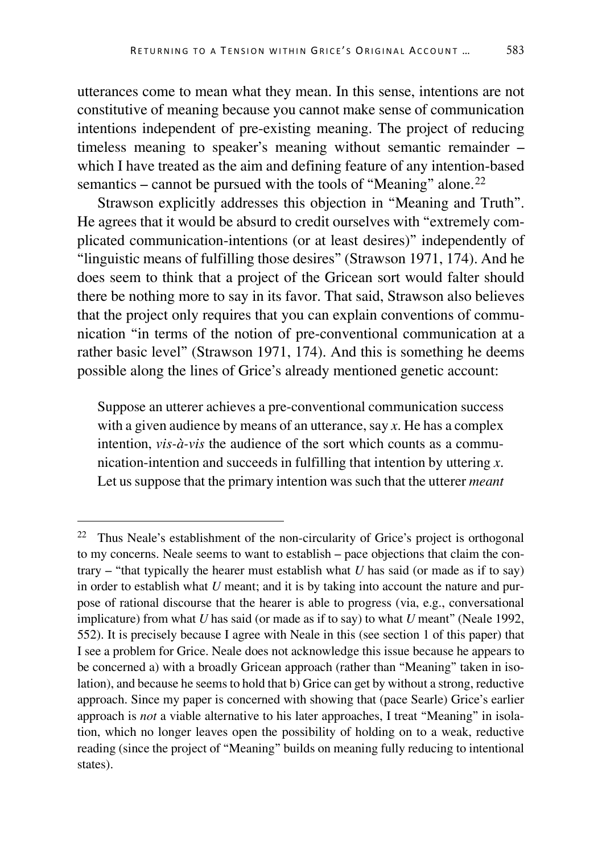utterances come to mean what they mean. In this sense, intentions are not constitutive of meaning because you cannot make sense of communication intentions independent of pre-existing meaning. The project of reducing timeless meaning to speaker's meaning without semantic remainder – which I have treated as the aim and defining feature of any intention-based semantics – cannot be pursued with the tools of "Meaning" alone.<sup>[22](#page-19-0)</sup>

Strawson explicitly addresses this objection in "Meaning and Truth". He agrees that it would be absurd to credit ourselves with "extremely complicated communication-intentions (or at least desires)" independently of "linguistic means of fulfilling those desires" (Strawson 1971, 174). And he does seem to think that a project of the Gricean sort would falter should there be nothing more to say in its favor. That said, Strawson also believes that the project only requires that you can explain conventions of communication "in terms of the notion of pre-conventional communication at a rather basic level" (Strawson 1971, 174). And this is something he deems possible along the lines of Grice's already mentioned genetic account:

Suppose an utterer achieves a pre-conventional communication success with a given audience by means of an utterance, say *x*. He has a complex intention, *vis-à-vis* the audience of the sort which counts as a communication-intention and succeeds in fulfilling that intention by uttering *x*. Let us suppose that the primary intention was such that the utterer *meant* 

<span id="page-19-0"></span> <sup>22</sup> Thus Neale's establishment of the non-circularity of Grice's project is orthogonal to my concerns. Neale seems to want to establish – pace objections that claim the contrary – "that typically the hearer must establish what *U* has said (or made as if to say) in order to establish what *U* meant; and it is by taking into account the nature and purpose of rational discourse that the hearer is able to progress (via, e.g., conversational implicature) from what *U* has said (or made as if to say) to what *U* meant" (Neale 1992, 552). It is precisely because I agree with Neale in this (see section 1 of this paper) that I see a problem for Grice. Neale does not acknowledge this issue because he appears to be concerned a) with a broadly Gricean approach (rather than "Meaning" taken in isolation), and because he seems to hold that b) Grice can get by without a strong, reductive approach. Since my paper is concerned with showing that (pace Searle) Grice's earlier approach is *not* a viable alternative to his later approaches, I treat "Meaning" in isolation, which no longer leaves open the possibility of holding on to a weak, reductive reading (since the project of "Meaning" builds on meaning fully reducing to intentional states).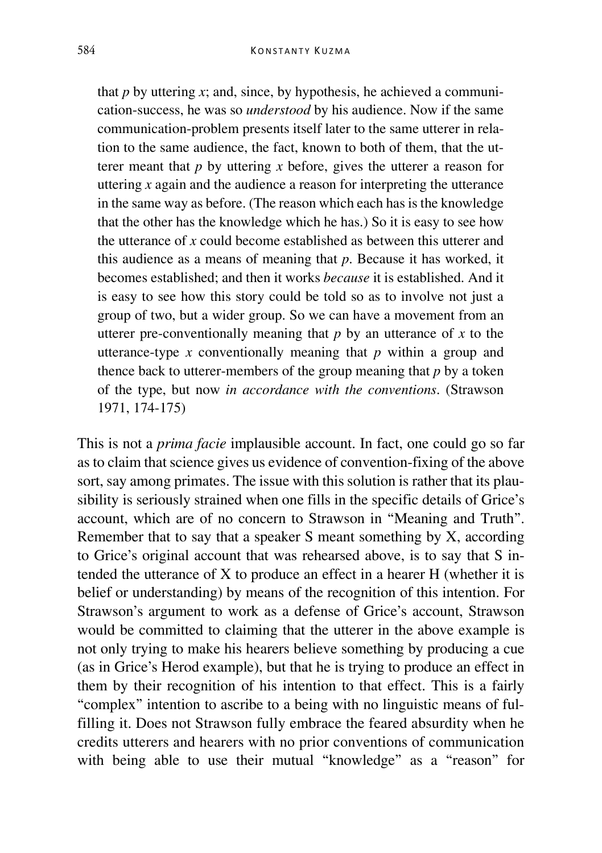that  $p$  by uttering  $x$ ; and, since, by hypothesis, he achieved a communication-success, he was so *understood* by his audience. Now if the same communication-problem presents itself later to the same utterer in relation to the same audience, the fact, known to both of them, that the utterer meant that *p* by uttering *x* before, gives the utterer a reason for uttering *x* again and the audience a reason for interpreting the utterance in the same way as before. (The reason which each has is the knowledge that the other has the knowledge which he has.) So it is easy to see how the utterance of *x* could become established as between this utterer and this audience as a means of meaning that *p*. Because it has worked, it becomes established; and then it works *because* it is established. And it is easy to see how this story could be told so as to involve not just a group of two, but a wider group. So we can have a movement from an utterer pre-conventionally meaning that  $p$  by an utterance of  $x$  to the utterance-type *x* conventionally meaning that *p* within a group and thence back to utterer-members of the group meaning that *p* by a token of the type, but now *in accordance with the conventions*. (Strawson 1971, 174-175)

This is not a *prima facie* implausible account. In fact, one could go so far as to claim that science gives us evidence of convention-fixing of the above sort, say among primates. The issue with this solution is rather that its plausibility is seriously strained when one fills in the specific details of Grice's account, which are of no concern to Strawson in "Meaning and Truth". Remember that to say that a speaker S meant something by X, according to Grice's original account that was rehearsed above, is to say that S intended the utterance of X to produce an effect in a hearer H (whether it is belief or understanding) by means of the recognition of this intention. For Strawson's argument to work as a defense of Grice's account, Strawson would be committed to claiming that the utterer in the above example is not only trying to make his hearers believe something by producing a cue (as in Grice's Herod example), but that he is trying to produce an effect in them by their recognition of his intention to that effect. This is a fairly "complex" intention to ascribe to a being with no linguistic means of fulfilling it. Does not Strawson fully embrace the feared absurdity when he credits utterers and hearers with no prior conventions of communication with being able to use their mutual "knowledge" as a "reason" for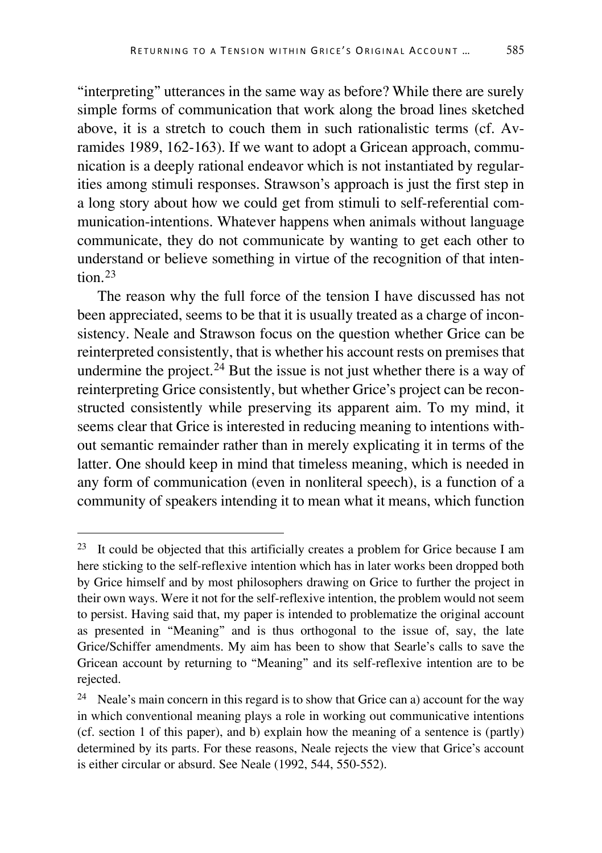"interpreting" utterances in the same way as before? While there are surely simple forms of communication that work along the broad lines sketched above, it is a stretch to couch them in such rationalistic terms (cf. Avramides 1989, 162-163). If we want to adopt a Gricean approach, communication is a deeply rational endeavor which is not instantiated by regularities among stimuli responses. Strawson's approach is just the first step in a long story about how we could get from stimuli to self-referential communication-intentions. Whatever happens when animals without language communicate, they do not communicate by wanting to get each other to understand or believe something in virtue of the recognition of that intention $23$ 

The reason why the full force of the tension I have discussed has not been appreciated, seems to be that it is usually treated as a charge of inconsistency. Neale and Strawson focus on the question whether Grice can be reinterpreted consistently, that is whether his account rests on premises that undermine the project.<sup>[24](#page-21-1)</sup> But the issue is not just whether there is a way of reinterpreting Grice consistently, but whether Grice's project can be reconstructed consistently while preserving its apparent aim. To my mind, it seems clear that Grice is interested in reducing meaning to intentions without semantic remainder rather than in merely explicating it in terms of the latter. One should keep in mind that timeless meaning, which is needed in any form of communication (even in nonliteral speech), is a function of a community of speakers intending it to mean what it means, which function

<span id="page-21-0"></span> $23$  It could be objected that this artificially creates a problem for Grice because I am here sticking to the self-reflexive intention which has in later works been dropped both by Grice himself and by most philosophers drawing on Grice to further the project in their own ways. Were it not for the self-reflexive intention, the problem would not seem to persist. Having said that, my paper is intended to problematize the original account as presented in "Meaning" and is thus orthogonal to the issue of, say, the late Grice/Schiffer amendments. My aim has been to show that Searle's calls to save the Gricean account by returning to "Meaning" and its self-reflexive intention are to be rejected.

<span id="page-21-1"></span><sup>24</sup> Neale's main concern in this regard is to show that Grice can a) account for the way in which conventional meaning plays a role in working out communicative intentions (cf. section 1 of this paper), and b) explain how the meaning of a sentence is (partly) determined by its parts. For these reasons, Neale rejects the view that Grice's account is either circular or absurd. See Neale (1992, 544, 550-552).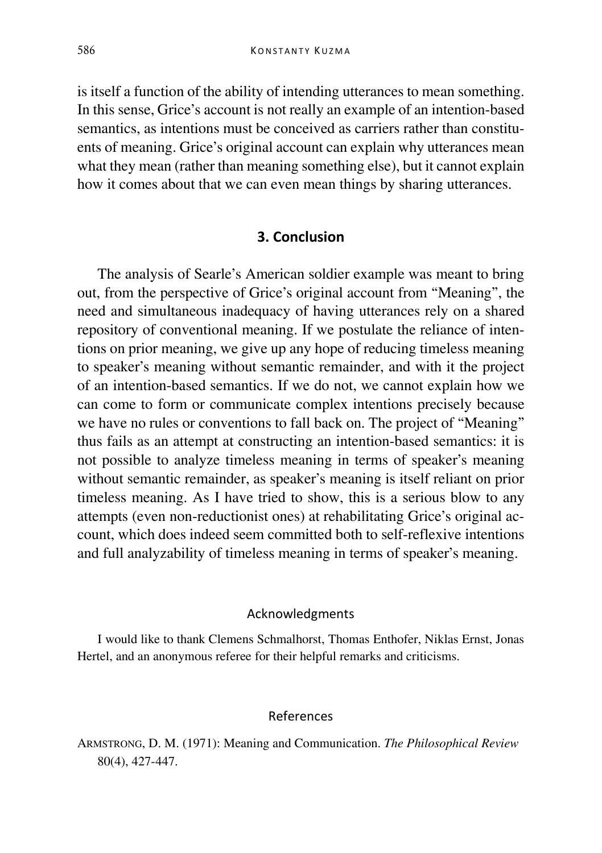is itself a function of the ability of intending utterances to mean something. In this sense, Grice's account is not really an example of an intention-based semantics, as intentions must be conceived as carriers rather than constituents of meaning. Grice's original account can explain why utterances mean what they mean (rather than meaning something else), but it cannot explain how it comes about that we can even mean things by sharing utterances.

## **3. Conclusion**

The analysis of Searle's American soldier example was meant to bring out, from the perspective of Grice's original account from "Meaning", the need and simultaneous inadequacy of having utterances rely on a shared repository of conventional meaning. If we postulate the reliance of intentions on prior meaning, we give up any hope of reducing timeless meaning to speaker's meaning without semantic remainder, and with it the project of an intention-based semantics. If we do not, we cannot explain how we can come to form or communicate complex intentions precisely because we have no rules or conventions to fall back on. The project of "Meaning" thus fails as an attempt at constructing an intention-based semantics: it is not possible to analyze timeless meaning in terms of speaker's meaning without semantic remainder, as speaker's meaning is itself reliant on prior timeless meaning. As I have tried to show, this is a serious blow to any attempts (even non-reductionist ones) at rehabilitating Grice's original account, which does indeed seem committed both to self-reflexive intentions and full analyzability of timeless meaning in terms of speaker's meaning.

#### Acknowledgments

I would like to thank Clemens Schmalhorst, Thomas Enthofer, Niklas Ernst, Jonas Hertel, and an anonymous referee for their helpful remarks and criticisms.

#### References

ARMSTRONG, D. M. (1971): Meaning and Communication. *The Philosophical Review*  80(4), 427-447.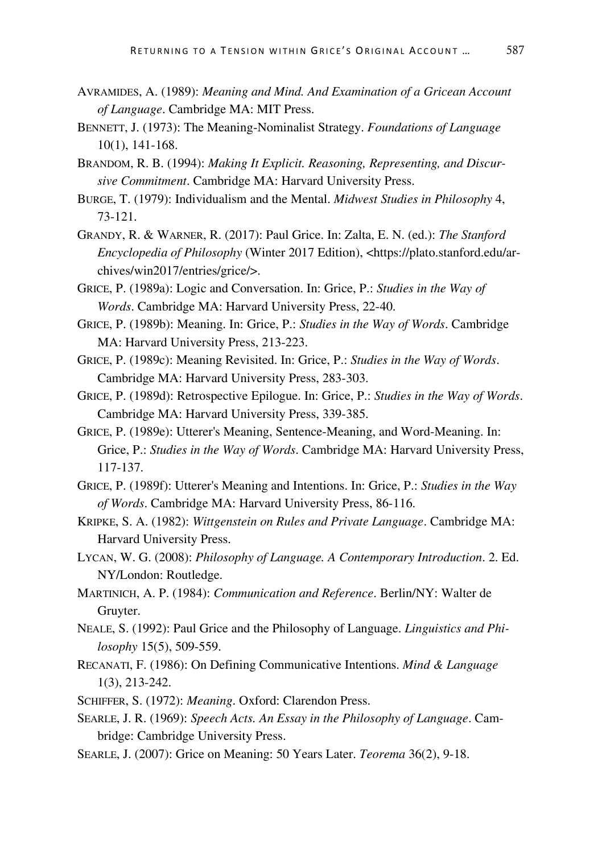- AVRAMIDES, A. (1989): *Meaning and Mind. And Examination of a Gricean Account of Language*. Cambridge MA: MIT Press.
- BENNETT, J. (1973): The Meaning-Nominalist Strategy. *Foundations of Language* 10(1), 141-168.
- BRANDOM, R. B. (1994): *Making It Explicit. Reasoning, Representing, and Discursive Commitment*. Cambridge MA: Harvard University Press.
- BURGE, T. (1979): Individualism and the Mental. *Midwest Studies in Philosophy* 4, 73-121.
- GRANDY, R. & WARNER, R. (2017): Paul Grice. In: Zalta, E. N. (ed.): *The Stanford Encyclopedia of Philosophy* (Winter 2017 Edition), <https://plato.stanford.edu/archives/win2017/entries/grice/>.
- GRICE, P. (1989a): Logic and Conversation. In: Grice, P.: *Studies in the Way of Words*. Cambridge MA: Harvard University Press, 22-40.
- GRICE, P. (1989b): Meaning. In: Grice, P.: *Studies in the Way of Words*. Cambridge MA: Harvard University Press, 213-223.
- GRICE, P. (1989c): Meaning Revisited. In: Grice, P.: *Studies in the Way of Words*. Cambridge MA: Harvard University Press, 283-303.
- GRICE, P. (1989d): Retrospective Epilogue. In: Grice, P.: *Studies in the Way of Words*. Cambridge MA: Harvard University Press, 339-385.
- GRICE, P. (1989e): Utterer's Meaning, Sentence-Meaning, and Word-Meaning. In: Grice, P.: *Studies in the Way of Words*. Cambridge MA: Harvard University Press, 117-137.
- GRICE, P. (1989f): Utterer's Meaning and Intentions. In: Grice, P.: *Studies in the Way of Words*. Cambridge MA: Harvard University Press, 86-116.
- KRIPKE, S. A. (1982): *Wittgenstein on Rules and Private Language*. Cambridge MA: Harvard University Press.
- LYCAN, W. G. (2008): *Philosophy of Language. A Contemporary Introduction*. 2. Ed. NY/London: Routledge.
- MARTINICH, A. P. (1984): *Communication and Reference*. Berlin/NY: Walter de Gruyter.
- NEALE, S. (1992): Paul Grice and the Philosophy of Language. *Linguistics and Philosophy* 15(5), 509-559.
- RECANATI, F. (1986): On Defining Communicative Intentions. *Mind & Language*  1(3), 213-242.
- SCHIFFER, S. (1972): *Meaning*. Oxford: Clarendon Press.
- SEARLE, J. R. (1969): *Speech Acts. An Essay in the Philosophy of Language*. Cambridge: Cambridge University Press.
- SEARLE, J. (2007): Grice on Meaning: 50 Years Later. *Teorema* 36(2), 9-18.